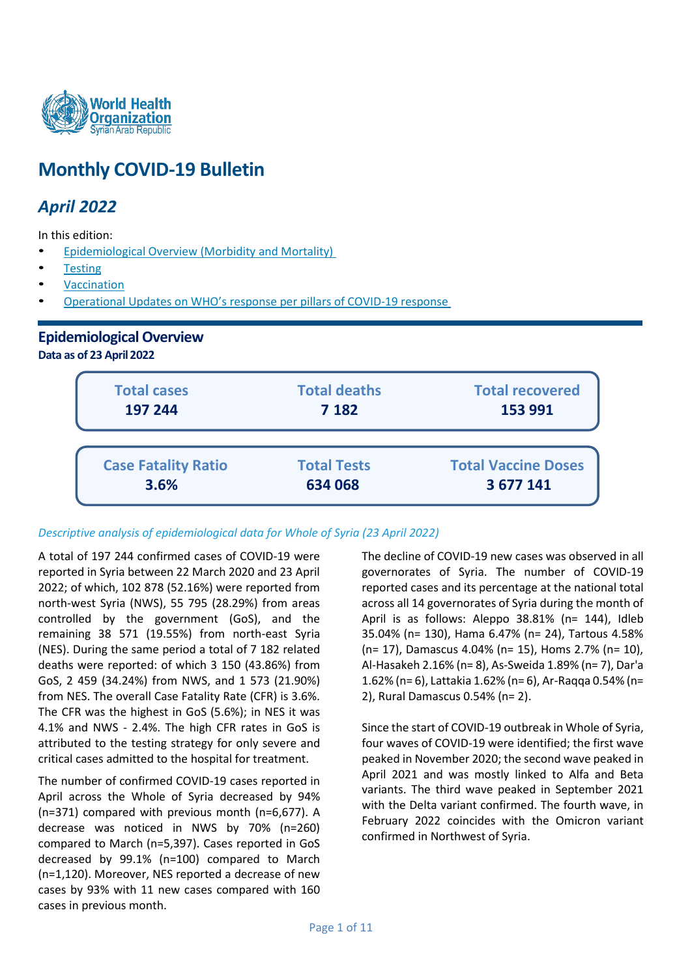

# **Monthly COVID-19 Bulletin**

# *April 2022*

In this edition:

- **Epidemiological Overview (Morbidity and Mortality)**
- **Testing**
- **Vaccination**
- Operational Updates on WHO's response per pillars of COVID-19 response

# **Epidemiological Overview Data as of 23 April2022**

| 3.6%                       | 634 068             | 3 677 141                  |
|----------------------------|---------------------|----------------------------|
| <b>Case Fatality Ratio</b> | <b>Total Tests</b>  | <b>Total Vaccine Doses</b> |
|                            |                     |                            |
| 197 244                    | 7 1 8 2             | 153 991                    |
| <b>Total cases</b>         | <b>Total deaths</b> | <b>Total recovered</b>     |

# Descriptive analysis of epidemiological data for Whole of Syria (23 April 2022)

A total of 197 244 confirmed cases of COVID-19 were reported in Syria between 22 March 2020 and 23 April 2022; of which, 102 878 (52.16%) were reported from north-west Syria (NWS), 55 795 (28.29%) from areas across all 14 governorates of Syria dividends controlled by the government (GoS), and the remaining 38 571 (19.55%) from north-east Syria (NES). During the same period a total of 7 182 related deaths were reported: of which 3 150 (43.86%) from GoS, 2 459 (34.24%) from NWS, and 1 573 (21.90%) from NES. The overall Case Fatality Rate (CFR) is 3.6%. The CFR was the highest in GoS (5.6%); in NES it was 4.1% and NWS - 2.4%. The high CFR rates in GoS is attributed to the testing strategy for only severe and critical cases admitted to the hospital for treatment.

The number of confirmed COVID-19 cases reported in April across the Whole of Syria decreased by 94% (n=371) compared with previous month (n=6,677). A decrease was noticed in NWS by 70% (n=260) compared to March (n=5,397). Cases reported in GoS decreased by 99.1% (n=100) compared to March (n=1,120). Moreover, NES reported a decrease of new cases by 93% with 11 new cases compared with 160 cases in previous month.

The decline of COVID-19 new cases was observed in all governorates of Syria. The number of COVID-19 reported cases and its percentage at the national total across all 14 governorates of Syria during the month of April is as follows: Aleppo 38.81% (n= 144), Idleb 35.04% (n= 130), Hama 6.47% (n= 24), Tartous 4.58% (n= 17), Damascus 4.04% (n= 15), Homs 2.7% (n= 10), Al-Hasakeh 2.16% (n= 8), As-Sweida 1.89% (n= 7), Dar'a 1.62% (n= 6), Lattakia 1.62% (n= 6), Ar-Raqqa 0.54% (n= 2), Rural Damascus 0.54% (n= 2).

Since the start of COVID-19 outbreak in Whole of Syria, four waves of COVID-19 were identified; the first wave peaked in November 2020; the second wave peaked in April 2021 and was mostly linked to Alfa and Beta variants. The third wave peaked in September 2021 with the Delta variant confirmed. The fourth wave, in February 2022 coincides with the Omicron variant confirmed in Northwest of Syria.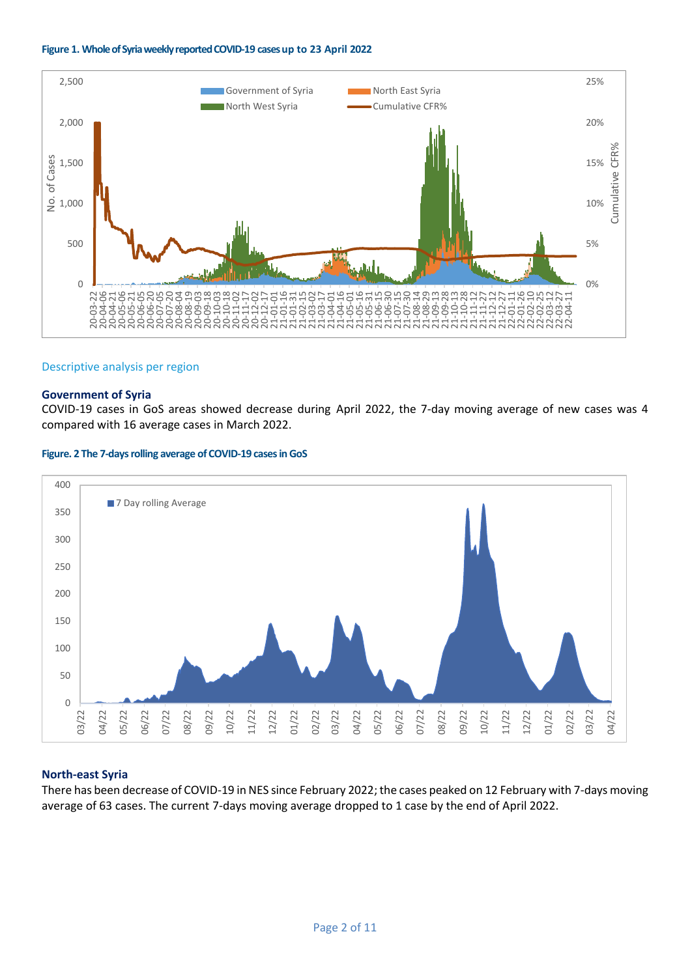#### **Figure 1. Whole of Syria weekly reported COVID-19 cases up to 23 April 2022**



#### Descriptive analysis per region

#### **Government of Syria**

COVID-19 cases in GoS areas showed decrease during April 2022, the 7-day moving average of new cases was 4 compared with 16 average cases in March 2022.





#### **North-east Syria**

There has been decrease of COVID-19 in NES since February 2022; the cases peaked on 12 February with 7-days moving average of 63 cases. The current 7-days moving average dropped to 1 case by the end of April 2022.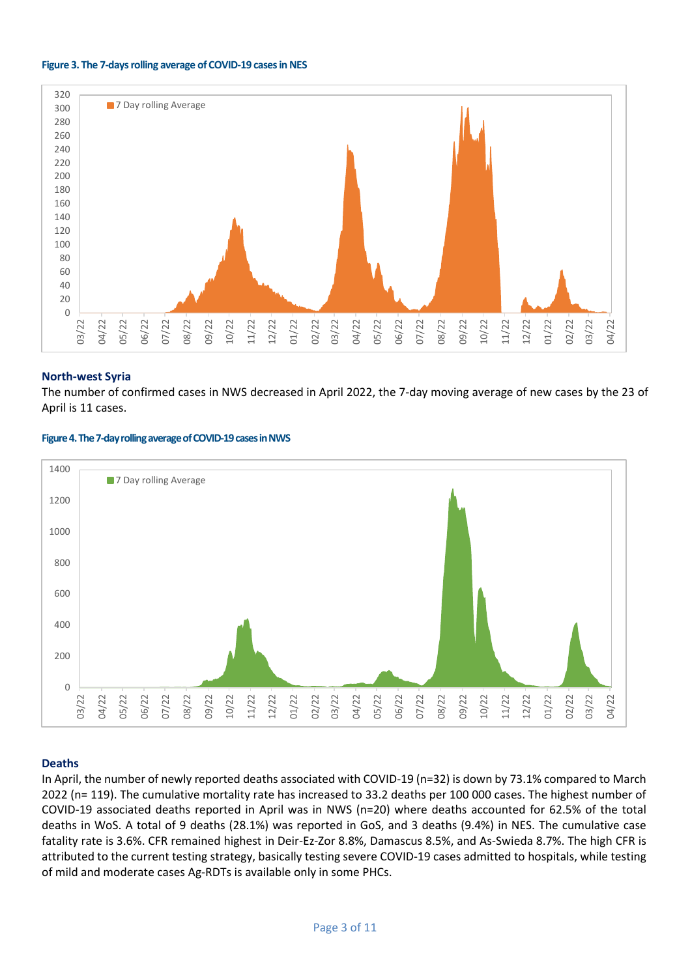#### **Figure 3. The 7-days rolling average of COVID-19 cases in NES**



#### **North-west Syria**

The number of confirmed cases in NWS decreased in April 2022, the 7-day moving average of new cases by the 23 of April is 11 cases.



#### **Figure 4.The 7-day rolling average of COVID-19 cases in NWS**

# **Deaths**

In April, the number of newly reported deaths associated with COVID-19 (n=32) is down by 73.1% compared to March 2022 (n= 119). The cumulative mortality rate has increased to 33.2 deaths per 100 000 cases. The highest number of COVID-19 associated deaths reported in April was in NWS (n=20) where deaths accounted for 62.5% of the total deaths in WoS. A total of 9 deaths (28.1%) was reported in GoS, and 3 deaths (9.4%) in NES. The cumulative case fatality rate is 3.6%. CFR remained highest in Deir-Ez-Zor 8.8%, Damascus 8.5%, and As-Swieda 8.7%. The high CFR is attributed to the current testing strategy, basically testing severe COVID-19 cases admitted to hospitals, while testing of mild and moderate cases Ag-RDTs is available only in some PHCs.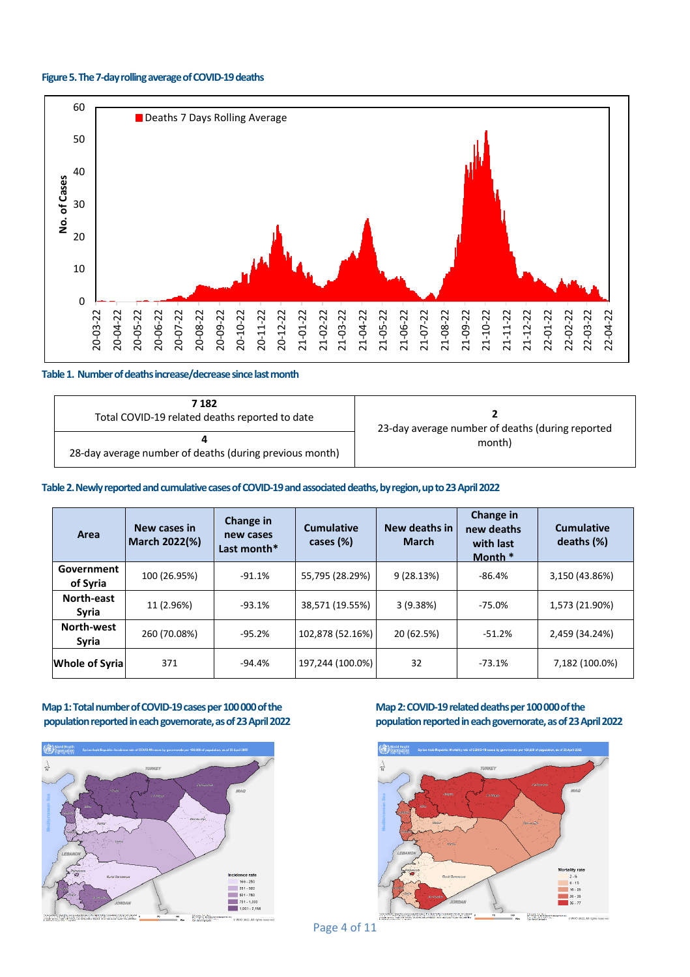#### **Figure 5.The 7-day rolling average of COVID-19 deaths**



#### Table 1. Number of deaths increase/decrease since last month

| 7 182<br>Total COVID-19 related deaths reported to date | 23-day average number of deaths (during reported |
|---------------------------------------------------------|--------------------------------------------------|
| 28-day average number of deaths (during previous month) | month)                                           |

#### **Table 2. Newly reported and cumulative cases of COVID-19 and associated deaths, by region, up to 23 April2022**

| Area                       | New cases in<br>March 2022(%) | Change in<br>new cases<br>Last month $*$ | <b>Cumulative</b><br>cases $(\%)$ | New deaths in<br><b>March</b> | Change in<br>new deaths<br>with last<br>Month * | <b>Cumulative</b><br>deaths $(\%)$ |
|----------------------------|-------------------------------|------------------------------------------|-----------------------------------|-------------------------------|-------------------------------------------------|------------------------------------|
| Government<br>of Syria     | 100 (26.95%)                  | $-91.1%$                                 | 55,795 (28.29%)                   | 9(28.13%)                     | $-86.4%$                                        | 3,150 (43.86%)                     |
| North-east<br><b>Syria</b> | 11 (2.96%)                    | $-93.1%$                                 | 38,571 (19.55%)                   | 3(9.38%)                      | $-75.0%$                                        | 1,573 (21.90%)                     |
| North-west<br><b>Syria</b> | 260 (70.08%)                  | $-95.2%$                                 | 102,878 (52.16%)                  | 20 (62.5%)                    | $-51.2%$                                        | 2,459 (34.24%)                     |
| Whole of Syrial            | 371                           | $-94.4%$                                 | 197,244 (100.0%)                  | 32                            | $-73.1%$                                        | 7,182 (100.0%)                     |

#### Map 1: Total number of COVID-19 cases per 100 000 of the Map 2: COVID-19 related deaths per 100 000 of the **population reported in each governorate, as of 23 April2022 population reported in each governorate, as of 23 April2022**





Page 4 of 11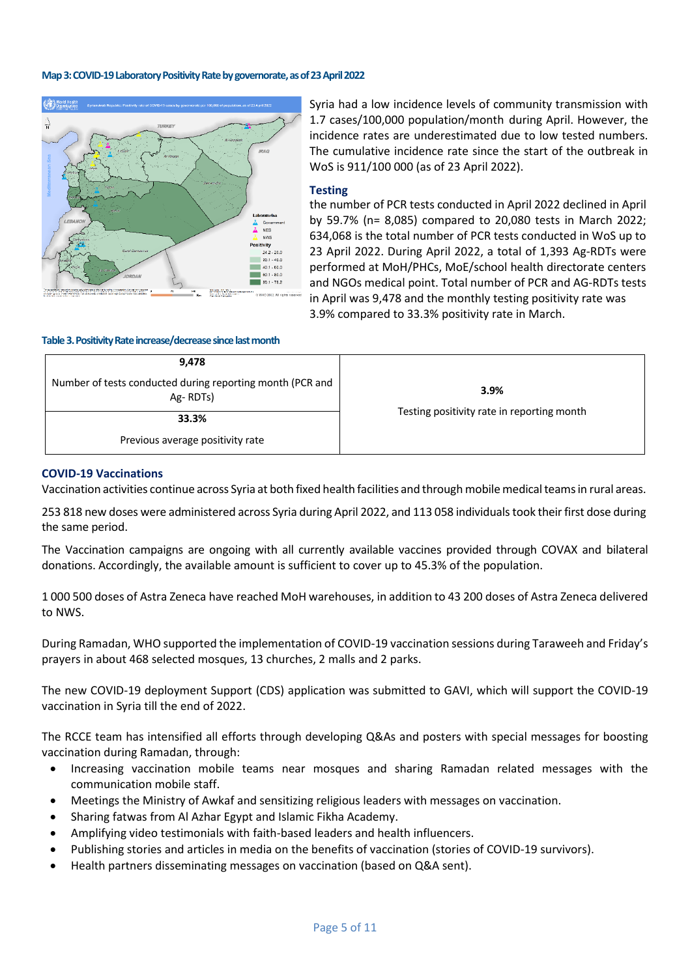#### **Map 3: COVID-19 Laboratory Positivity Rate by governorate, asof 23 April2022**



**Table 3.Positivity Rate increase/decrease since last month** 

Syria had a low incidence levels of community transmission with 1.7 cases/100,000 population/month during April. However, the incidence rates are underestimated due to low tested numbers. The cumulative incidence rate since the start of the outbreak in WoS is 911/100 000 (as of 23 April 2022).

#### **Testing**

the number of PCR tests conducted in April 2022 declined in April by 59.7% (n= 8,085) compared to 20,080 tests in March 2022; 634,068 is the total number of PCR tests conducted in WoS up to 23 April 2022. During April 2022, a total of 1,393 Ag-RDTs were performed at MoH/PHCs, MoE/school health directorate centers and NGOs medical point. Total number of PCR and AG-RDTs tests in April was 9,478 and the monthly testing positivity rate was 3.9% compared to 33.3% positivity rate in March.

| 9,478                                                                 |                                            |
|-----------------------------------------------------------------------|--------------------------------------------|
| Number of tests conducted during reporting month (PCR and<br>Ag-RDTs) | 3.9%                                       |
| 33.3%                                                                 | Testing positivity rate in reporting month |
| Previous average positivity rate                                      |                                            |

#### **COVID-19 Vaccinations**

Vaccination activities continue across Syria at both fixed health facilities and through mobile medical teams in rural areas.

253 818 new doses were administered across Syria during April 2022, and 113 058 individualstook their first dose during the same period.

The Vaccination campaigns are ongoing with all currently available vaccines provided through COVAX and bilateral donations. Accordingly, the available amount is sufficient to cover up to 45.3% of the population.

1 000 500 doses of Astra Zeneca have reached MoH warehouses, in addition to 43 200 doses of Astra Zeneca delivered to NWS.

During Ramadan, WHO supported the implementation of COVID-19 vaccination sessions during Taraweeh and Friday's prayers in about 468 selected mosques, 13 churches, 2 malls and 2 parks.

The new COVID-19 deployment Support (CDS) application was submitted to GAVI, which will support the COVID-19 vaccination in Syria till the end of 2022.

The RCCE team has intensified all efforts through developing Q&As and posters with special messages for boosting vaccination during Ramadan, through:

- Increasing vaccination mobile teams near mosques and sharing Ramadan related messages with the communication mobile staff.
- Meetings the Ministry of Awkaf and sensitizing religious leaders with messages on vaccination.
- Sharing fatwas from Al Azhar Egypt and Islamic Fikha Academy.
- Amplifying video testimonials with faith-based leaders and health influencers.
- Publishing stories and articles in media on the benefits of vaccination (stories of COVID-19 survivors).
- Health partners disseminating messages on vaccination (based on Q&A sent).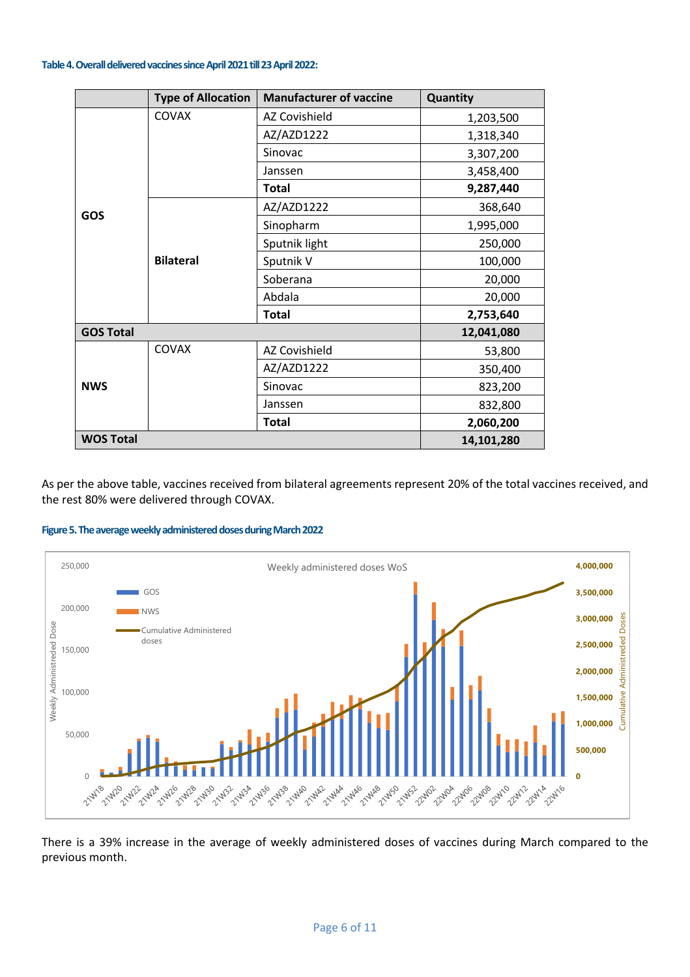#### **Table 4.Overall delivered vaccines since April 2021 till 23 April2022:**

|                  | <b>Type of Allocation</b> | <b>Manufacturer of vaccine</b> | Quantity   |
|------------------|---------------------------|--------------------------------|------------|
|                  | <b>COVAX</b>              | AZ Covishield                  | 1,203,500  |
|                  |                           | AZ/AZD1222                     | 1,318,340  |
|                  |                           | Sinovac                        | 3,307,200  |
|                  |                           | Janssen                        | 3,458,400  |
|                  |                           | <b>Total</b>                   | 9,287,440  |
| <b>GOS</b>       |                           | AZ/AZD1222                     | 368,640    |
|                  |                           | Sinopharm                      | 1,995,000  |
|                  |                           | Sputnik light                  | 250,000    |
|                  | <b>Bilateral</b>          | Sputnik V                      | 100,000    |
|                  |                           | Soberana                       | 20,000     |
|                  |                           | Abdala                         | 20,000     |
|                  |                           | <b>Total</b>                   | 2,753,640  |
| <b>GOS Total</b> |                           |                                | 12,041,080 |
|                  | COVAX                     | AZ Covishield                  | 53,800     |
|                  |                           | AZ/AZD1222                     | 350,400    |
| <b>NWS</b>       |                           | Sinovac                        | 823,200    |
|                  |                           | Janssen                        | 832,800    |
|                  |                           | <b>Total</b>                   | 2,060,200  |
| <b>WOS Total</b> |                           |                                | 14,101,280 |

As per the above table, vaccines received from bilateral agreements represent 20% of the total vaccines received, and the rest 80% were delivered through COVAX.





There is a 39% increase in the average of weekly administered doses of vaccines during March compared to the previous month.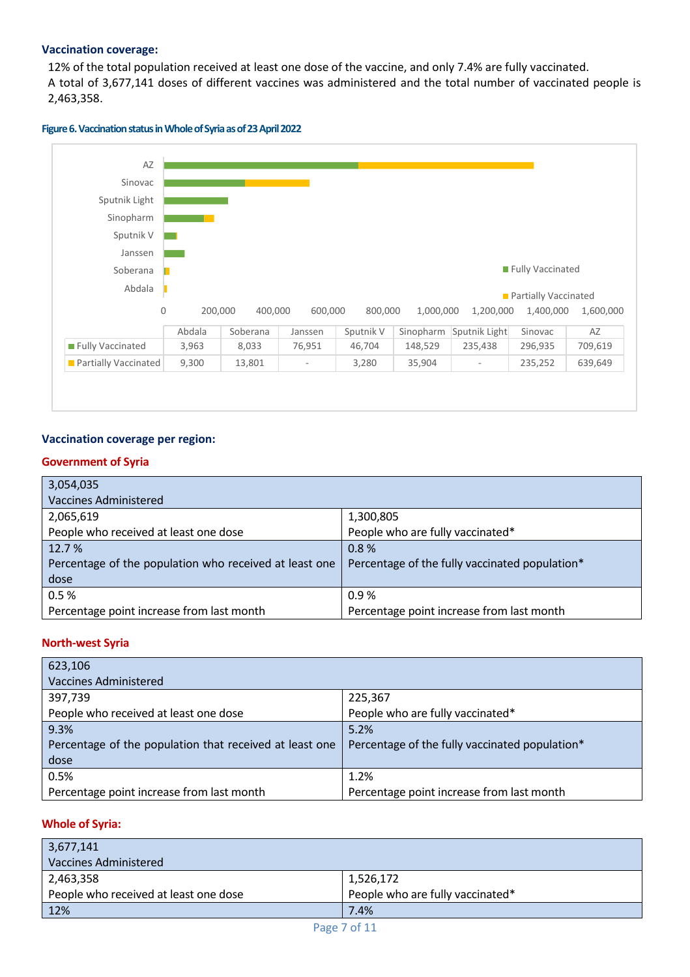# **Vaccination coverage:**

12% of the total population received at least one dose of the vaccine, and only 7.4% are fully vaccinated. A total of 3,677,141 doses of different vaccines was administered and the total number of vaccinated people is 2,463,358.





# **Vaccination coverage per region:**

## **Government of Syria**

| 3,054,035                                              |                                                |
|--------------------------------------------------------|------------------------------------------------|
| Vaccines Administered                                  |                                                |
| 2,065,619                                              | 1,300,805                                      |
| People who received at least one dose                  | People who are fully vaccinated*               |
| 12.7 %                                                 | 0.8%                                           |
| Percentage of the population who received at least one | Percentage of the fully vaccinated population* |
| dose                                                   |                                                |
| 0.5%                                                   | 0.9%                                           |
| Percentage point increase from last month              | Percentage point increase from last month      |

## **North-west Syria**

| 623,106                                                 |                                                |
|---------------------------------------------------------|------------------------------------------------|
| <b>Vaccines Administered</b>                            |                                                |
| 397,739                                                 | 225,367                                        |
| People who received at least one dose                   | People who are fully vaccinated*               |
| 9.3%                                                    | 5.2%                                           |
| Percentage of the population that received at least one | Percentage of the fully vaccinated population* |
| dose                                                    |                                                |
| 0.5%                                                    | 1.2%                                           |
| Percentage point increase from last month               | Percentage point increase from last month      |

# **Whole of Syria:**

| 3,677,141                             |                                  |
|---------------------------------------|----------------------------------|
| <b>Vaccines Administered</b>          |                                  |
| 2,463,358                             | 1,526,172                        |
| People who received at least one dose | People who are fully vaccinated* |
| 12%                                   | 7.4%                             |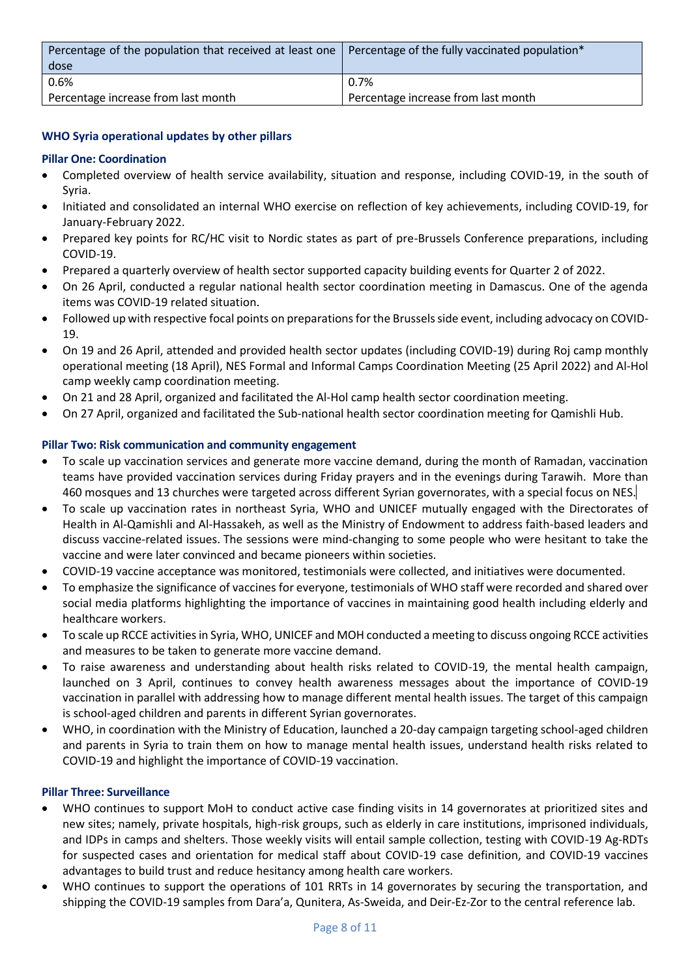| Percentage of the population that received at least one $\vert$ Percentage of the fully vaccinated population*<br>dose |                                     |
|------------------------------------------------------------------------------------------------------------------------|-------------------------------------|
| 0.6%                                                                                                                   | $0.7\%$                             |
| Percentage increase from last month                                                                                    | Percentage increase from last month |

# **WHO Syria operational updates by other pillars**

# **Pillar One: Coordination**

- Completed overview of health service availability, situation and response, including COVID-19, in the south of Syria.
- Initiated and consolidated an internal WHO exercise on reflection of key achievements, including COVID-19, for January-February 2022.
- Prepared key points for RC/HC visit to Nordic states as part of pre-Brussels Conference preparations, including COVID-19.
- Prepared a quarterly overview of health sector supported capacity building events for Quarter 2 of 2022.
- On 26 April, conducted a regular national health sector coordination meeting in Damascus. One of the agenda items was COVID-19 related situation.
- Followed up with respective focal points on preparations for the Brussels side event, including advocacy on COVID-19.
- On 19 and 26 April, attended and provided health sector updates (including COVID-19) during Roj camp monthly operational meeting (18 April), NES Formal and Informal Camps Coordination Meeting (25 April 2022) and Al-Hol camp weekly camp coordination meeting.
- On 21 and 28 April, organized and facilitated the Al-Hol camp health sector coordination meeting.
- On 27 April, organized and facilitated the Sub-national health sector coordination meeting for Qamishli Hub.

# **Pillar Two: Risk communication and community engagement**

- To scale up vaccination services and generate more vaccine demand, during the month of Ramadan, vaccination teams have provided vaccination services during Friday prayers and in the evenings during Tarawih. More than 460 mosques and 13 churches were targeted across different Syrian governorates, with a special focus on NES.
- To scale up vaccination rates in northeast Syria, WHO and UNICEF mutually engaged with the Directorates of Health in Al-Qamishli and Al-Hassakeh, as well as the Ministry of Endowment to address faith-based leaders and discuss vaccine-related issues. The sessions were mind-changing to some people who were hesitant to take the vaccine and were later convinced and became pioneers within societies.
- COVID-19 vaccine acceptance was monitored, testimonials were collected, and initiatives were documented.
- To emphasize the significance of vaccines for everyone, testimonials of WHO staff were recorded and shared over social media platforms highlighting the importance of vaccines in maintaining good health including elderly and healthcare workers.
- To scale up RCCE activities in Syria, WHO, UNICEF and MOH conducted a meeting to discuss ongoing RCCE activities and measures to be taken to generate more vaccine demand.
- To raise awareness and understanding about health risks related to COVID-19, the mental health campaign, launched on 3 April, continues to convey health awareness messages about the importance of COVID-19 vaccination in parallel with addressing how to manage different mental health issues. The target of this campaign is school-aged children and parents in different Syrian governorates.
- WHO, in coordination with the Ministry of Education, launched a 20-day campaign targeting school-aged children and parents in Syria to train them on how to manage mental health issues, understand health risks related to COVID-19 and highlight the importance of COVID-19 vaccination.

## **Pillar Three: Surveillance**

- WHO continues to support MoH to conduct active case finding visits in 14 governorates at prioritized sites and new sites; namely, private hospitals, high-risk groups, such as elderly in care institutions, imprisoned individuals, and IDPs in camps and shelters. Those weekly visits will entail sample collection, testing with COVID-19 Ag-RDTs for suspected cases and orientation for medical staff about COVID-19 case definition, and COVID-19 vaccines advantages to build trust and reduce hesitancy among health care workers.
- WHO continues to support the operations of 101 RRTs in 14 governorates by securing the transportation, and shipping the COVID-19 samples from Dara'a, Qunitera, As-Sweida, and Deir-Ez-Zor to the central reference lab.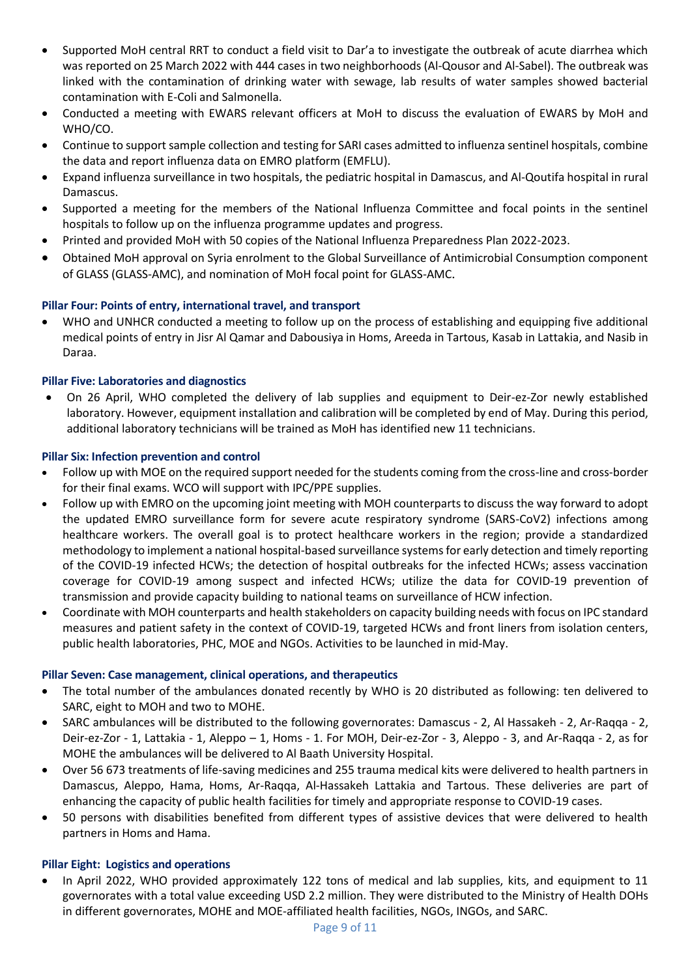- Supported MoH central RRT to conduct a field visit to Dar'a to investigate the outbreak of acute diarrhea which was reported on 25 March 2022 with 444 cases in two neighborhoods (Al-Qousor and Al-Sabel). The outbreak was linked with the contamination of drinking water with sewage, lab results of water samples showed bacterial contamination with E-Coli and Salmonella.
- Conducted a meeting with EWARS relevant officers at MoH to discuss the evaluation of EWARS by MoH and WHO/CO.
- Continue to support sample collection and testing for SARI cases admitted to influenza sentinel hospitals, combine the data and report influenza data on EMRO platform (EMFLU).
- Expand influenza surveillance in two hospitals, the pediatric hospital in Damascus, and Al-Qoutifa hospital in rural Damascus.
- Supported a meeting for the members of the National Influenza Committee and focal points in the sentinel hospitals to follow up on the influenza programme updates and progress.
- Printed and provided MoH with 50 copies of the National Influenza Preparedness Plan 2022-2023.
- Obtained MoH approval on Syria enrolment to the Global Surveillance of Antimicrobial Consumption component of GLASS (GLASS-AMC), and nomination of MoH focal point for GLASS-AMC.

# **Pillar Four: Points of entry, international travel, and transport**

• WHO and UNHCR conducted a meeting to follow up on the process of establishing and equipping five additional medical points of entry in Jisr Al Qamar and Dabousiya in Homs, Areeda in Tartous, Kasab in Lattakia, and Nasib in Daraa.

# **Pillar Five: Laboratories and diagnostics**

• On 26 April, WHO completed the delivery of lab supplies and equipment to Deir-ez-Zor newly established laboratory. However, equipment installation and calibration will be completed by end of May. During this period, additional laboratory technicians will be trained as MoH has identified new 11 technicians.

# **Pillar Six: Infection prevention and control**

- Follow up with MOE on the required support needed for the students coming from the cross-line and cross-border for their final exams. WCO will support with IPC/PPE supplies.
- Follow up with EMRO on the upcoming joint meeting with MOH counterparts to discuss the way forward to adopt the updated EMRO surveillance form for severe acute respiratory syndrome (SARS-CoV2) infections among healthcare workers. The overall goal is to protect healthcare workers in the region; provide a standardized methodology to implement a national hospital-based surveillance systems for early detection and timely reporting of the COVID-19 infected HCWs; the detection of hospital outbreaks for the infected HCWs; assess vaccination coverage for COVID-19 among suspect and infected HCWs; utilize the data for COVID-19 prevention of transmission and provide capacity building to national teams on surveillance of HCW infection.
- Coordinate with MOH counterparts and health stakeholders on capacity building needs with focus on IPC standard measures and patient safety in the context of COVID-19, targeted HCWs and front liners from isolation centers, public health laboratories, PHC, MOE and NGOs. Activities to be launched in mid-May.

## **Pillar Seven: Case management, clinical operations, and therapeutics**

- The total number of the ambulances donated recently by WHO is 20 distributed as following: ten delivered to SARC, eight to MOH and two to MOHE.
- SARC ambulances will be distributed to the following governorates: Damascus 2, Al Hassakeh 2, Ar-Raqqa 2, Deir-ez-Zor - 1, Lattakia - 1, Aleppo – 1, Homs - 1. For MOH, Deir-ez-Zor - 3, Aleppo - 3, and Ar-Raqqa - 2, as for MOHE the ambulances will be delivered to Al Baath University Hospital.
- Over 56 673 treatments of life-saving medicines and 255 trauma medical kits were delivered to health partners in Damascus, Aleppo, Hama, Homs, Ar-Raqqa, Al-Hassakeh Lattakia and Tartous. These deliveries are part of enhancing the capacity of public health facilities for timely and appropriate response to COVID-19 cases.
- 50 persons with disabilities benefited from different types of assistive devices that were delivered to health partners in Homs and Hama.

# **Pillar Eight: Logistics and operations**

• In April 2022, WHO provided approximately 122 tons of medical and lab supplies, kits, and equipment to 11 governorates with a total value exceeding USD 2.2 million. They were distributed to the Ministry of Health DOHs in different governorates, MOHE and MOE-affiliated health facilities, NGOs, INGOs, and SARC.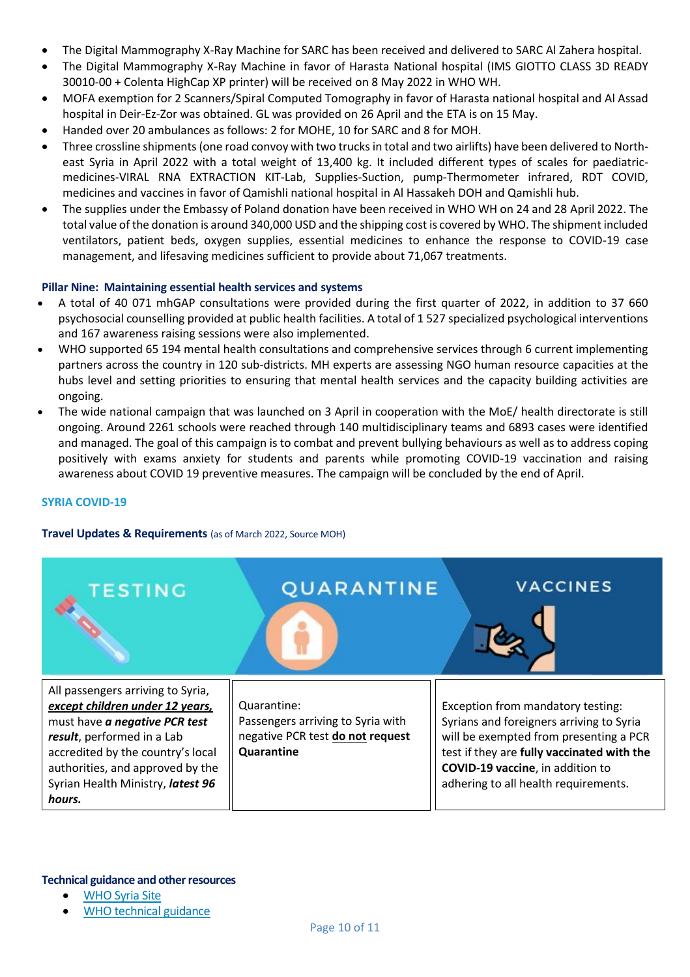- The Digital Mammography X-Ray Machine for SARC has been received and delivered to SARC Al Zahera hospital.
- The Digital Mammography X-Ray Machine in favor of Harasta National hospital (IMS GIOTTO CLASS 3D READY 30010-00 + Colenta HighCap XP printer) will be received on 8 May 2022 in WHO WH.
- MOFA exemption for 2 Scanners/Spiral Computed Tomography in favor of Harasta national hospital and Al Assad hospital in Deir-Ez-Zor was obtained. GL was provided on 26 April and the ETA is on 15 May.
- Handed over 20 ambulances as follows: 2 for MOHE, 10 for SARC and 8 for MOH.
- Three crossline shipments (one road convoy with two trucks in total and two airlifts) have been delivered to Northeast Syria in April 2022 with a total weight of 13,400 kg. It included different types of scales for paediatricmedicines-VIRAL RNA EXTRACTION KIT-Lab, Supplies-Suction, pump-Thermometer infrared, RDT COVID, medicines and vaccines in favor of Qamishli national hospital in Al Hassakeh DOH and Qamishli hub.
- The supplies under the Embassy of Poland donation have been received in WHO WH on 24 and 28 April 2022. The total value of the donation is around 340,000 USD and the shipping cost is covered by WHO. The shipment included ventilators, patient beds, oxygen supplies, essential medicines to enhance the response to COVID-19 case management, and lifesaving medicines sufficient to provide about 71,067 treatments.

# **Pillar Nine: Maintaining essential health services and systems**

- A total of 40 071 mhGAP consultations were provided during the first quarter of 2022, in addition to 37 660 psychosocial counselling provided at public health facilities. A total of 1 527 specialized psychological interventions and 167 awareness raising sessions were also implemented.
- WHO supported 65 194 mental health consultations and comprehensive services through 6 current implementing partners across the country in 120 sub-districts. MH experts are assessing NGO human resource capacities at the hubs level and setting priorities to ensuring that mental health services and the capacity building activities are ongoing.
- The wide national campaign that was launched on 3 April in cooperation with the MoE/ health directorate is still ongoing. Around 2261 schools were reached through 140 multidisciplinary teams and 6893 cases were identified and managed. The goal of this campaign is to combat and prevent bullying behaviours as well as to address coping positively with exams anxiety for students and parents while promoting COVID-19 vaccination and raising awareness about COVID 19 preventive measures. The campaign will be concluded by the end of April.

## **SYRIA COVID-19**

## **Travel Updates & Requirements** (as of March 2022, Source MOH)



#### **Technical guidance and other resources**

- [WHO Syria Site](http://www.emro.who.int/countries/syria/index.html)
- WHO [technical](https://www.who.int/emergencies/diseases/novel-coronavirus-2019/technical-guidance) guidance